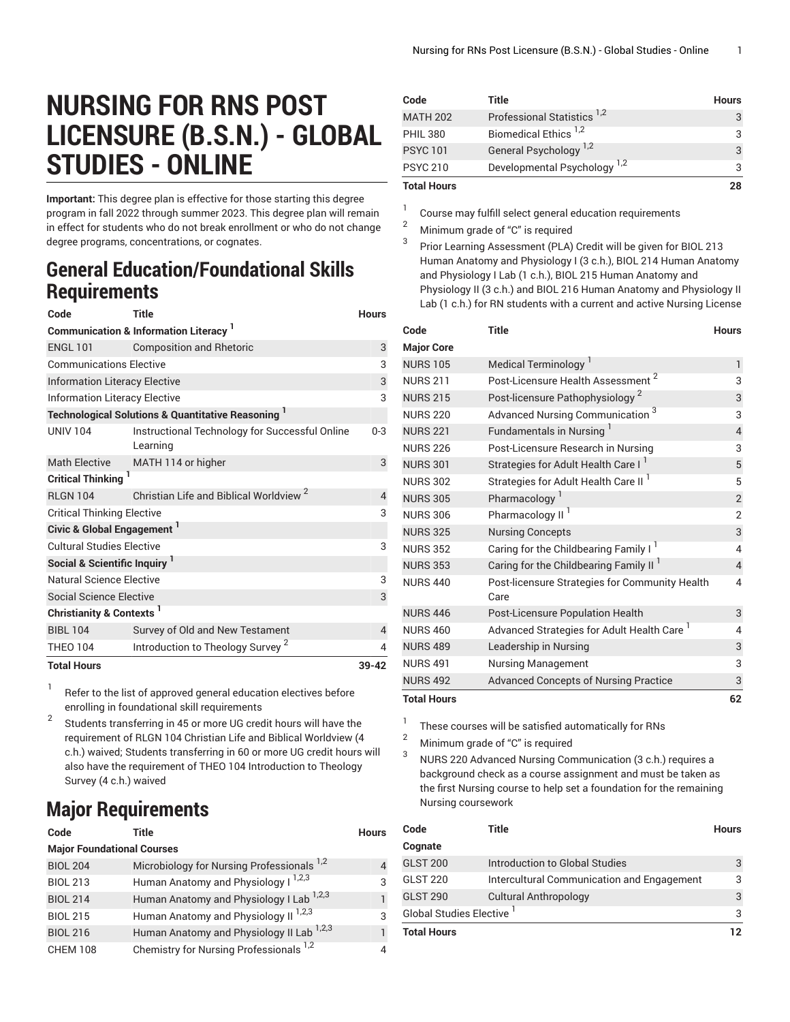## **NURSING FOR RNS POST LICENSURE (B.S.N.) - GLOBAL STUDIES - ONLINE**

**Important:** This degree plan is effective for those starting this degree program in fall 2022 through summer 2023. This degree plan will remain in effect for students who do not break enrollment or who do not change degree programs, concentrations, or cognates.

## **General Education/Foundational Skills Requirements**

| Code                                                          | <b>Title</b>                                               | <b>Hours</b> |  |  |
|---------------------------------------------------------------|------------------------------------------------------------|--------------|--|--|
| <b>Communication &amp; Information Literacy</b> <sup>1</sup>  |                                                            |              |  |  |
| <b>ENGL 101</b>                                               | <b>Composition and Rhetoric</b>                            | 3            |  |  |
| <b>Communications Elective</b>                                | 3                                                          |              |  |  |
| <b>Information Literacy Elective</b>                          |                                                            |              |  |  |
| Information Literacy Elective                                 |                                                            |              |  |  |
| <b>Technological Solutions &amp; Quantitative Reasoning 1</b> |                                                            |              |  |  |
| <b>UNIV 104</b>                                               | Instructional Technology for Successful Online<br>Learning | $0 - 3$      |  |  |
| <b>Math Elective</b>                                          | MATH 114 or higher                                         | 3            |  |  |
| Critical Thinking <sup>1</sup>                                |                                                            |              |  |  |
| <b>RLGN 104</b>                                               | Christian Life and Biblical Worldview <sup>2</sup>         | 4            |  |  |
| <b>Critical Thinking Elective</b>                             |                                                            | 3            |  |  |
| Civic & Global Engagement <sup>1</sup>                        |                                                            |              |  |  |
| <b>Cultural Studies Elective</b>                              |                                                            | 3            |  |  |
| Social & Scientific Inquiry                                   |                                                            |              |  |  |
| Natural Science Elective                                      |                                                            |              |  |  |
| <b>Social Science Elective</b>                                |                                                            | 3            |  |  |
| Christianity & Contexts <sup>1</sup>                          |                                                            |              |  |  |
| <b>BIBL 104</b>                                               | Survey of Old and New Testament                            | 4            |  |  |
| <b>THEO 104</b>                                               | Introduction to Theology Survey <sup>2</sup>               | 4            |  |  |
| <b>Total Hours</b>                                            |                                                            | $39 - 42$    |  |  |

1 Refer to the list of approved general [education](https://www.liberty.edu/gened/) electives before enrolling in foundational skill requirements

2 Students transferring in 45 or more UG credit hours will have the requirement of RLGN 104 Christian Life and Biblical Worldview (4 c.h.) waived; Students transferring in 60 or more UG credit hours will also have the requirement of THEO 104 Introduction to Theology Survey (4 c.h.) waived

## **Major Requirements**

| Code                              | <b>Title</b>                                          | <b>Hours</b> |
|-----------------------------------|-------------------------------------------------------|--------------|
| <b>Major Foundational Courses</b> |                                                       |              |
| <b>BIOL 204</b>                   | Microbiology for Nursing Professionals <sup>1,2</sup> | 4            |
| <b>BIOL 213</b>                   | Human Anatomy and Physiology I <sup>1,2,3</sup>       | 3            |
| <b>BIOL 214</b>                   | Human Anatomy and Physiology I Lab <sup>1,2,3</sup>   | 1            |
| <b>BIOL 215</b>                   | Human Anatomy and Physiology II <sup>1,2,3</sup>      | 3            |
| <b>BIOL 216</b>                   | Human Anatomy and Physiology II Lab <sup>1,2,3</sup>  | 1            |
| <b>CHEM 108</b>                   | Chemistry for Nursing Professionals <sup>1,2</sup>    | 4            |

| <b>Total Hours</b> |                                         | 28           |
|--------------------|-----------------------------------------|--------------|
| <b>PSYC 210</b>    | Developmental Psychology <sup>1,2</sup> |              |
| <b>PSYC101</b>     | General Psychology <sup>1,2</sup>       | 3            |
| <b>PHIL 380</b>    | Biomedical Ethics <sup>1,2</sup>        |              |
| <b>MATH 202</b>    | Professional Statistics <sup>1,2</sup>  |              |
| Code               | Title                                   | <b>Hours</b> |

1 Course may fulfill select general education [requirements](http://www.liberty.edu/academics/generalstudies/?PID=37563)

<sup>2</sup> Minimum grade of "C" is required

3 Prior Learning Assessment (PLA) Credit will be given for BIOL 213 Human Anatomy and Physiology I (3 c.h.), BIOL 214 Human Anatomy and Physiology I Lab (1 c.h.), BIOL 215 Human Anatomy and Physiology II (3 c.h.) and BIOL 216 Human Anatomy and Physiology II Lab (1 c.h.) for RN students with a current and active Nursing License

| Code               | <b>Title</b>                                           | <b>Hours</b>   |
|--------------------|--------------------------------------------------------|----------------|
| <b>Major Core</b>  |                                                        |                |
| <b>NURS 105</b>    | Medical Terminology <sup>1</sup>                       | $\mathbf{1}$   |
| <b>NURS 211</b>    | 2<br>Post-Licensure Health Assessment                  | 3              |
| <b>NURS 215</b>    | Post-licensure Pathophysiology <sup>2</sup>            | 3              |
| <b>NURS 220</b>    | Advanced Nursing Communication <sup>3</sup>            | 3              |
| <b>NURS 221</b>    | Fundamentals in Nursing <sup>1</sup>                   | $\overline{4}$ |
| <b>NURS 226</b>    | Post-Licensure Research in Nursing                     | 3              |
| <b>NURS 301</b>    | Strategies for Adult Health Care I                     | 5              |
| <b>NURS 302</b>    | Strategies for Adult Health Care II                    | 5              |
| <b>NURS 305</b>    | Pharmacology <sup>1</sup>                              | $\overline{c}$ |
| <b>NURS 306</b>    | Pharmacology II <sup>I</sup>                           | $\overline{2}$ |
| <b>NURS 325</b>    | <b>Nursing Concepts</b>                                | 3              |
| <b>NURS 352</b>    | Caring for the Childbearing Family I <sup>1</sup>      | 4              |
| <b>NURS 353</b>    | Caring for the Childbearing Family II <sup>1</sup>     | 4              |
| <b>NURS 440</b>    | Post-licensure Strategies for Community Health<br>Care | 4              |
| <b>NURS 446</b>    | Post-Licensure Population Health                       | 3              |
| <b>NURS 460</b>    | Advanced Strategies for Adult Health Care <sup>1</sup> | 4              |
| <b>NURS 489</b>    | Leadership in Nursing                                  | 3              |
| <b>NURS 491</b>    | Nursing Management                                     | 3              |
| <b>NURS 492</b>    | <b>Advanced Concepts of Nursing Practice</b>           | 3              |
| <b>Total Hours</b> |                                                        | 62             |

1 These courses will be satisfied automatically for RNs

<sup>2</sup> Minimum grade of "C" is required

3 NURS 220 Advanced Nursing Communication (3 c.h.) requires a background check as a course assignment and must be taken as the first Nursing course to help set a foundation for the remaining Nursing coursework

| Code                      | Title                                      | <b>Hours</b> |
|---------------------------|--------------------------------------------|--------------|
| Cognate                   |                                            |              |
| <b>GLST 200</b>           | Introduction to Global Studies             | 3            |
| <b>GLST 220</b>           | Intercultural Communication and Engagement | 3            |
| <b>GLST 290</b>           | <b>Cultural Anthropology</b>               | 3            |
| Global Studies Elective 1 |                                            | 3            |
| <b>Total Hours</b>        |                                            |              |